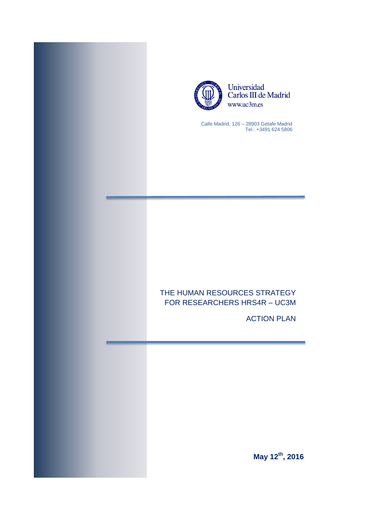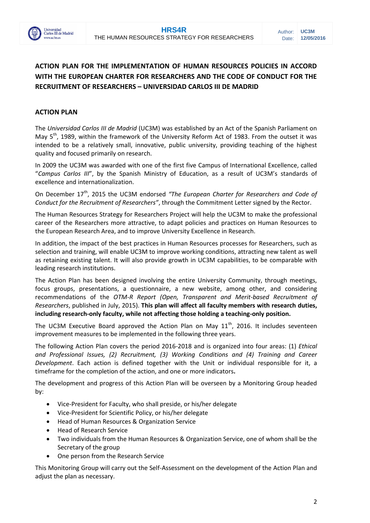

# **ACTION PLAN FOR THE IMPLEMENTATION OF HUMAN RESOURCES POLICIES IN ACCORD WITH THE EUROPEAN CHARTER FOR RESEARCHERS AND THE CODE OF CONDUCT FOR THE RECRUITMENT OF RESEARCHERS – UNIVERSIDAD CARLOS III DE MADRID**

### **ACTION PLAN**

The *Universidad Carlos III de Madrid* (UC3M) was established by an Act of the Spanish Parliament on May 5<sup>th</sup>, 1989, within the framework of the University Reform Act of 1983. From the outset it was intended to be a relatively small, innovative, public university, providing teaching of the highest quality and focused primarily on research.

In 2009 the UC3M was awarded with one of the first five Campus of International Excellence, called "*Campus Carlos III*", by the Spanish Ministry of Education, as a result of UC3M's standards of excellence and internationalization.

On December 17<sup>th</sup>, 2015 the UC3M endorsed "The European Charter for Researchers and Code of *Conduct for the Recruitment of Researchers"*, through the Commitment Letter signed by the Rector.

The Human Resources Strategy for Researchers Project will help the UC3M to make the professional career of the Researchers more attractive, to adapt policies and practices on Human Resources to the European Research Area, and to improve University Excellence in Research.

In addition, the impact of the best practices in Human Resources processes for Researchers, such as selection and training, will enable UC3M to improve working conditions, attracting new talent as well as retaining existing talent. It will also provide growth in UC3M capabilities, to be comparable with leading research institutions.

The Action Plan has been designed involving the entire University Community, through meetings, focus groups, presentations, a questionnaire, a new website, among other, and considering recommendations of the *OTM-R Report (Open, Transparent and Merit-based Recruitment of Researchers*, published in July, 2015). **This plan will affect all faculty members with research duties, including research-only faculty, while not affecting those holding a teaching-only position.**

The UC3M Executive Board approved the Action Plan on May  $11<sup>th</sup>$ , 2016. It includes seventeen improvement measures to be implemented in the following three years.

The following Action Plan covers the period 2016-2018 and is organized into four areas: (1) *Ethical and Professional Issues, (2) Recruitment, (3) Working Conditions and (4) Training and Career Development*. Each action is defined together with the Unit or individual responsible for it, a timeframe for the completion of the action, and one or more indicators**.**

The development and progress of this Action Plan will be overseen by a Monitoring Group headed by:

- Vice-President for Faculty, who shall preside, or his/her delegate
- Vice-President for Scientific Policy, or his/her delegate
- Head of Human Resources & Organization Service
- Head of Research Service
- Two individuals from the Human Resources & Organization Service, one of whom shall be the Secretary of the group
- One person from the Research Service

This Monitoring Group will carry out the Self-Assessment on the development of the Action Plan and adjust the plan as necessary.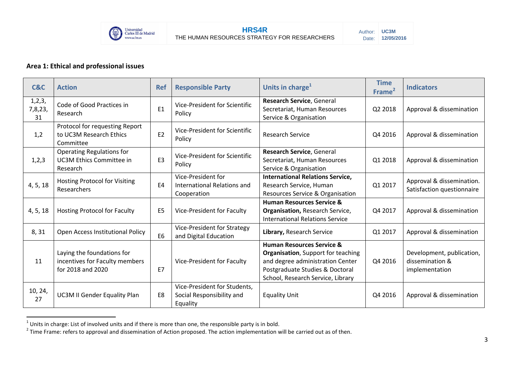

### **Area 1: Ethical and professional issues**

| C&C                     | <b>Action</b>                                                                     | <b>Ref</b>     | <b>Responsible Party</b>                                              | Units in charge <sup>1</sup>                                                                                                                                                                   | <b>Time</b><br>Frame <sup>2</sup> | <b>Indicators</b>                                              |
|-------------------------|-----------------------------------------------------------------------------------|----------------|-----------------------------------------------------------------------|------------------------------------------------------------------------------------------------------------------------------------------------------------------------------------------------|-----------------------------------|----------------------------------------------------------------|
| 1,2,3,<br>7,8,23,<br>31 | Code of Good Practices in<br>Research                                             | E1             | Vice-President for Scientific<br>Policy                               | Research Service, General<br>Secretariat, Human Resources<br>Service & Organisation                                                                                                            | Q2 2018                           | Approval & dissemination                                       |
| 1,2                     | Protocol for requesting Report<br>to UC3M Research Ethics<br>Committee            | E <sub>2</sub> | Vice-President for Scientific<br>Policy                               | <b>Research Service</b>                                                                                                                                                                        | Q4 2016                           | Approval & dissemination                                       |
| 1,2,3                   | Operating Regulations for<br><b>UC3M Ethics Committee in</b><br>Research          | E <sub>3</sub> | Vice-President for Scientific<br>Policy                               | Research Service, General<br>Secretariat, Human Resources<br>Service & Organisation                                                                                                            | Q1 2018                           | Approval & dissemination                                       |
| 4, 5, 18                | Hosting Protocol for Visiting<br>Researchers                                      | E <sub>4</sub> | Vice-President for<br>International Relations and<br>Cooperation      | <b>International Relations Service,</b><br>Research Service, Human<br>Resources Service & Organisation                                                                                         | Q1 2017                           | Approval & dissemination.<br>Satisfaction questionnaire        |
| 4, 5, 18                | <b>Hosting Protocol for Faculty</b>                                               | E <sub>5</sub> | Vice-President for Faculty                                            | <b>Human Resources Service &amp;</b><br>Organisation, Research Service,<br><b>International Relations Service</b>                                                                              | Q4 2017                           | Approval & dissemination                                       |
| 8,31                    | Open Access Institutional Policy                                                  | E6             | Vice-President for Strategy<br>and Digital Education                  | Library, Research Service                                                                                                                                                                      | Q1 2017                           | Approval & dissemination                                       |
| 11                      | Laying the foundations for<br>incentives for Faculty members<br>for 2018 and 2020 | E7             | Vice-President for Faculty                                            | <b>Human Resources Service &amp;</b><br><b>Organisation</b> , Support for teaching<br>and degree administration Center<br>Postgraduate Studies & Doctoral<br>School, Research Service, Library | Q4 2016                           | Development, publication,<br>dissemination &<br>implementation |
| 10, 24,<br>27           | <b>UC3M II Gender Equality Plan</b>                                               | E8             | Vice-President for Students,<br>Social Responsibility and<br>Equality | <b>Equality Unit</b>                                                                                                                                                                           | Q4 2016                           | Approval & dissemination                                       |

<sup>1&</sup>lt;br><sup>1</sup> Units in charge: List of involved units and if there is more than one, the responsible party is in bold.<br><sup>2</sup> Time Frame: refers to approval and dissemination of Action proposed. The action implementation will be carr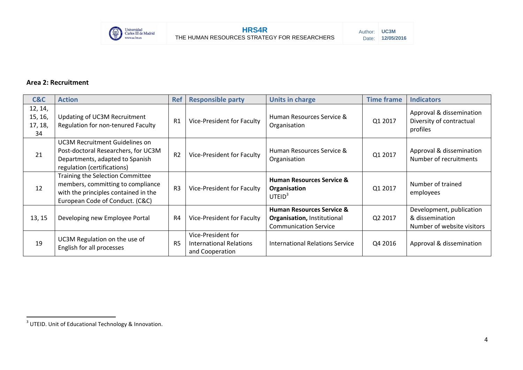

### **Area 2: Recruitment**

| C&C                                 | <b>Action</b>                                                                                                                                    | <b>Ref</b>     | <b>Responsible party</b>                                         | <b>Units in charge</b>                                                                              | <b>Time frame</b> | <b>Indicators</b>                                                         |
|-------------------------------------|--------------------------------------------------------------------------------------------------------------------------------------------------|----------------|------------------------------------------------------------------|-----------------------------------------------------------------------------------------------------|-------------------|---------------------------------------------------------------------------|
| 12, 14,<br>15, 16,<br>17, 18,<br>34 | Updating of UC3M Recruitment<br>Regulation for non-tenured Faculty                                                                               | R1             | Vice-President for Faculty                                       | Human Resources Service &<br>Organisation                                                           | Q1 2017           | Approval & dissemination<br>Diversity of contractual<br>profiles          |
| 21                                  | UC3M Recruitment Guidelines on<br>Post-doctoral Researchers, for UC3M<br>Departments, adapted to Spanish<br>regulation (certifications)          | R <sub>2</sub> | Vice-President for Faculty                                       | Human Resources Service &<br>Organisation                                                           | Q1 2017           | Approval & dissemination<br>Number of recruitments                        |
| 12                                  | Training the Selection Committee<br>members, committing to compliance<br>with the principles contained in the<br>European Code of Conduct. (C&C) |                | Vice-President for Faculty                                       | <b>Human Resources Service &amp;</b><br>Organisation<br>UTEID <sup>3</sup>                          | Q1 2017           | Number of trained<br>employees                                            |
| 13, 15                              | Developing new Employee Portal                                                                                                                   |                | Vice-President for Faculty                                       | <b>Human Resources Service &amp;</b><br>Organisation, Institutional<br><b>Communication Service</b> | Q2 2017           | Development, publication<br>& dissemination<br>Number of website visitors |
| 19                                  | UC3M Regulation on the use of<br>English for all processes                                                                                       |                | Vice-President for<br>International Relations<br>and Cooperation | <b>International Relations Service</b>                                                              | Q4 2016           | Approval & dissemination                                                  |

 3 UTEID. Unit of Educational Technology & Innovation.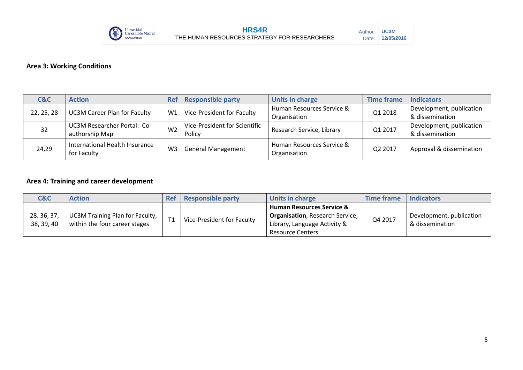

## **Area 3: Working Conditions**

| C&C        | <b>Action</b>                                 | <b>Ref</b>     | <b>Responsible party</b>                | Units in charge                           | <b>Time frame</b> | <b>Indicators</b>                           |
|------------|-----------------------------------------------|----------------|-----------------------------------------|-------------------------------------------|-------------------|---------------------------------------------|
| 22, 25, 28 | <b>UC3M Career Plan for Faculty</b>           | W1             | Vice-President for Faculty              | Human Resources Service &<br>Organisation | Q1 2018           | Development, publication<br>& dissemination |
| 32         | UC3M Researcher Portal: Co-<br>authorship Map | W <sub>2</sub> | Vice-President for Scientific<br>Policy | Research Service, Library                 | Q1 2017           | Development, publication<br>& dissemination |
| 24,29      | International Health Insurance<br>for Faculty | W <sub>3</sub> | <b>General Management</b>               | Human Resources Service &<br>Organisation | Q2 2017           | Approval & dissemination                    |

### **Area 4: Training and career development**

| <b>C&amp;C</b>          | <b>Action</b>                                                    | <b>Ref</b>     | <b>Responsible party</b>   | Units in charge                                                                                                                            | <b>Time frame</b> | <b>Indicators</b>                           |
|-------------------------|------------------------------------------------------------------|----------------|----------------------------|--------------------------------------------------------------------------------------------------------------------------------------------|-------------------|---------------------------------------------|
| 28.36,37,<br>38, 39, 40 | UC3M Training Plan for Faculty,<br>within the four career stages | T <sub>1</sub> | Vice-President for Faculty | <b>Human Resources Service &amp;</b><br><b>Organisation</b> , Research Service,<br>Library, Language Activity &<br><b>Resource Centers</b> | Q4 2017           | Development, publication<br>& dissemination |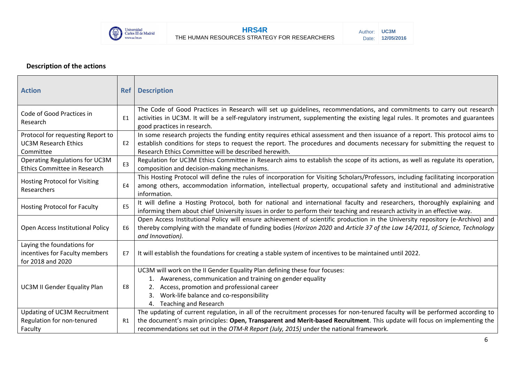

## **Description of the actions**

| <b>Action</b>                                                                     | <b>Ref</b>     | <b>Description</b>                                                                                                                                                                                                                                                                                                                                    |
|-----------------------------------------------------------------------------------|----------------|-------------------------------------------------------------------------------------------------------------------------------------------------------------------------------------------------------------------------------------------------------------------------------------------------------------------------------------------------------|
| Code of Good Practices in<br>Research                                             | E <sub>1</sub> | The Code of Good Practices in Research will set up guidelines, recommendations, and commitments to carry out research<br>activities in UC3M. It will be a self-regulatory instrument, supplementing the existing legal rules. It promotes and guarantees<br>good practices in research.                                                               |
| Protocol for requesting Report to<br><b>UC3M Research Ethics</b><br>Committee     | E <sub>2</sub> | In some research projects the funding entity requires ethical assessment and then issuance of a report. This protocol aims to<br>establish conditions for steps to request the report. The procedures and documents necessary for submitting the request to<br>Research Ethics Committee will be described herewith.                                  |
| Operating Regulations for UC3M<br>Ethics Committee in Research                    | E <sub>3</sub> | Regulation for UC3M Ethics Committee in Research aims to establish the scope of its actions, as well as regulate its operation,<br>composition and decision-making mechanisms.                                                                                                                                                                        |
| <b>Hosting Protocol for Visiting</b><br>Researchers                               | E4             | This Hosting Protocol will define the rules of incorporation for Visiting Scholars/Professors, including facilitating incorporation<br>among others, accommodation information, intellectual property, occupational safety and institutional and administrative<br>information.                                                                       |
| <b>Hosting Protocol for Faculty</b>                                               | E <sub>5</sub> | It will define a Hosting Protocol, both for national and international faculty and researchers, thoroughly explaining and<br>informing them about chief University issues in order to perform their teaching and research activity in an effective way.                                                                                               |
| Open Access Institutional Policy                                                  | E6             | Open Access Institutional Policy will ensure achievement of scientific production in the University repository (e-Archivo) and<br>thereby complying with the mandate of funding bodies (Horizon 2020 and Article 37 of the Law 14/2011, of Science, Technology<br>and Innovation).                                                                    |
| Laying the foundations for<br>incentives for Faculty members<br>for 2018 and 2020 | E7             | It will establish the foundations for creating a stable system of incentives to be maintained until 2022.                                                                                                                                                                                                                                             |
| <b>UC3M II Gender Equality Plan</b>                                               | E8             | UC3M will work on the II Gender Equality Plan defining these four focuses:<br>1. Awareness, communication and training on gender equality<br>2. Access, promotion and professional career<br>Work-life balance and co-responsibility<br>3.<br>4. Teaching and Research                                                                                |
| Updating of UC3M Recruitment<br>Regulation for non-tenured<br>Faculty             | R1             | The updating of current regulation, in all of the recruitment processes for non-tenured faculty will be performed according to<br>the document's main principles: Open, Transparent and Merit-based Recruitment. This update will focus on implementing the<br>recommendations set out in the OTM-R Report (July, 2015) under the national framework. |